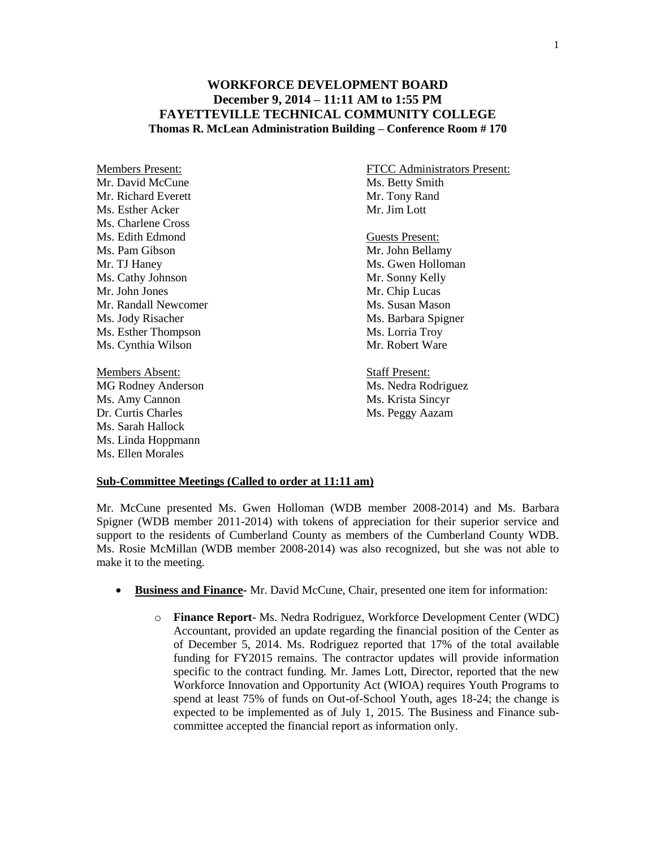## **WORKFORCE DEVELOPMENT BOARD December 9, 2014 – 11:11 AM to 1:55 PM FAYETTEVILLE TECHNICAL COMMUNITY COLLEGE Thomas R. McLean Administration Building – Conference Room # 170**

Mr. David McCune Ms. Betty Smith Mr. Richard Everett Mr. Tony Rand Ms. Esther Acker Mr. Jim Lott Ms. Charlene Cross Ms. Edith Edmond Guests Present: Ms. Pam Gibson Mr. John Bellamy Mr. TJ Haney Ms. Gwen Holloman Ms. Cathy Johnson Mr. Sonny Kelly Mr. John Jones Mr. Chip Lucas Mr. Randall Newcomer Ms. Susan Mason Ms. Jody Risacher Ms. Barbara Spigner Ms. Esther Thompson Ms. Lorria Troy Ms. Cynthia Wilson Mr. Robert Ware

Members Absent: Staff Present: MG Rodney Anderson Ms. Nedra Rodriguez Ms. Amy Cannon Ms. Krista Sincyr Dr. Curtis Charles Ms. Peggy Aazam Ms. Sarah Hallock Ms. Linda Hoppmann Ms. Ellen Morales

Members Present: FTCC Administrators Present:

## **Sub-Committee Meetings (Called to order at 11:11 am)**

Mr. McCune presented Ms. Gwen Holloman (WDB member 2008-2014) and Ms. Barbara Spigner (WDB member 2011-2014) with tokens of appreciation for their superior service and support to the residents of Cumberland County as members of the Cumberland County WDB. Ms. Rosie McMillan (WDB member 2008-2014) was also recognized, but she was not able to make it to the meeting.

- **Business and Finance-** Mr. David McCune, Chair, presented one item for information:
	- o **Finance Report** Ms. Nedra Rodriguez, Workforce Development Center (WDC) Accountant, provided an update regarding the financial position of the Center as of December 5, 2014. Ms. Rodriguez reported that 17% of the total available funding for FY2015 remains. The contractor updates will provide information specific to the contract funding. Mr. James Lott, Director, reported that the new Workforce Innovation and Opportunity Act (WIOA) requires Youth Programs to spend at least 75% of funds on Out-of-School Youth, ages 18-24; the change is expected to be implemented as of July 1, 2015. The Business and Finance subcommittee accepted the financial report as information only.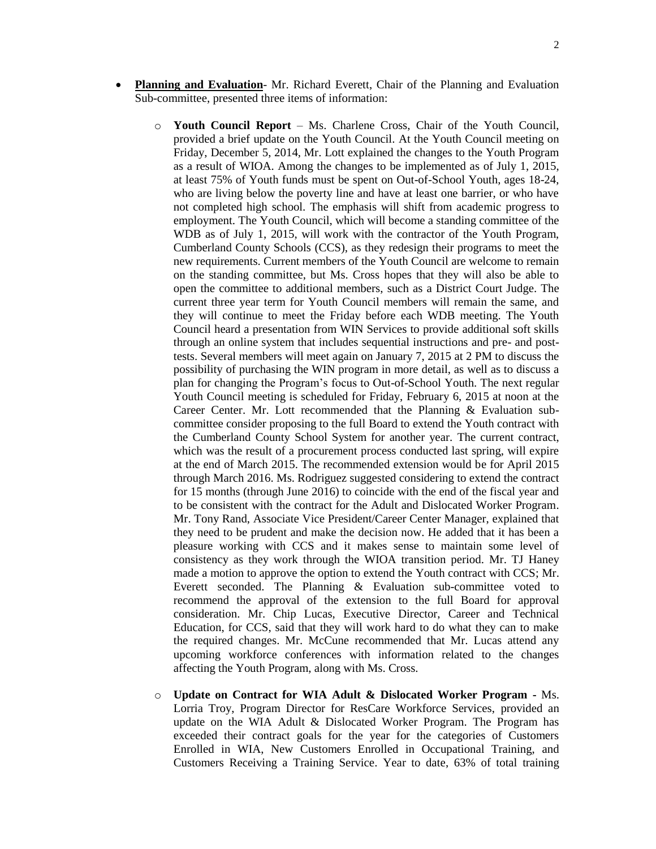- **Planning and Evaluation** Mr. Richard Everett, Chair of the Planning and Evaluation Sub-committee, presented three items of information:
	- o **Youth Council Report**  Ms. Charlene Cross, Chair of the Youth Council, provided a brief update on the Youth Council. At the Youth Council meeting on Friday, December 5, 2014, Mr. Lott explained the changes to the Youth Program as a result of WIOA. Among the changes to be implemented as of July 1, 2015, at least 75% of Youth funds must be spent on Out-of-School Youth, ages 18-24, who are living below the poverty line and have at least one barrier, or who have not completed high school. The emphasis will shift from academic progress to employment. The Youth Council, which will become a standing committee of the WDB as of July 1, 2015, will work with the contractor of the Youth Program, Cumberland County Schools (CCS), as they redesign their programs to meet the new requirements. Current members of the Youth Council are welcome to remain on the standing committee, but Ms. Cross hopes that they will also be able to open the committee to additional members, such as a District Court Judge. The current three year term for Youth Council members will remain the same, and they will continue to meet the Friday before each WDB meeting. The Youth Council heard a presentation from WIN Services to provide additional soft skills through an online system that includes sequential instructions and pre- and posttests. Several members will meet again on January 7, 2015 at 2 PM to discuss the possibility of purchasing the WIN program in more detail, as well as to discuss a plan for changing the Program's focus to Out-of-School Youth. The next regular Youth Council meeting is scheduled for Friday, February 6, 2015 at noon at the Career Center. Mr. Lott recommended that the Planning & Evaluation subcommittee consider proposing to the full Board to extend the Youth contract with the Cumberland County School System for another year. The current contract, which was the result of a procurement process conducted last spring, will expire at the end of March 2015. The recommended extension would be for April 2015 through March 2016. Ms. Rodriguez suggested considering to extend the contract for 15 months (through June 2016) to coincide with the end of the fiscal year and to be consistent with the contract for the Adult and Dislocated Worker Program. Mr. Tony Rand, Associate Vice President/Career Center Manager, explained that they need to be prudent and make the decision now. He added that it has been a pleasure working with CCS and it makes sense to maintain some level of consistency as they work through the WIOA transition period. Mr. TJ Haney made a motion to approve the option to extend the Youth contract with CCS; Mr. Everett seconded. The Planning & Evaluation sub-committee voted to recommend the approval of the extension to the full Board for approval consideration. Mr. Chip Lucas, Executive Director, Career and Technical Education, for CCS, said that they will work hard to do what they can to make the required changes. Mr. McCune recommended that Mr. Lucas attend any upcoming workforce conferences with information related to the changes affecting the Youth Program, along with Ms. Cross.
	- o **Update on Contract for WIA Adult & Dislocated Worker Program -** Ms. Lorria Troy, Program Director for ResCare Workforce Services, provided an update on the WIA Adult & Dislocated Worker Program. The Program has exceeded their contract goals for the year for the categories of Customers Enrolled in WIA, New Customers Enrolled in Occupational Training, and Customers Receiving a Training Service. Year to date, 63% of total training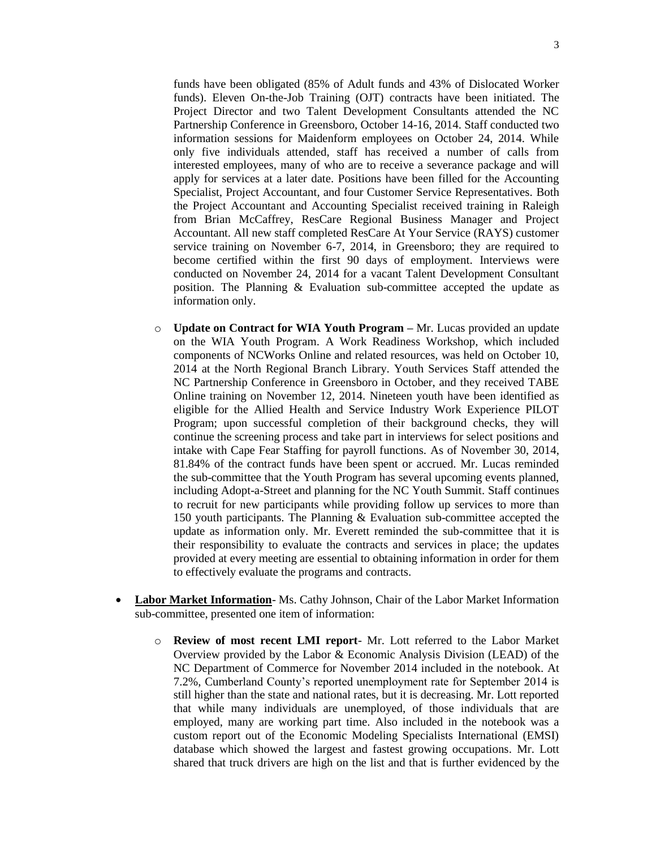funds have been obligated (85% of Adult funds and 43% of Dislocated Worker funds). Eleven On-the-Job Training (OJT) contracts have been initiated. The Project Director and two Talent Development Consultants attended the NC Partnership Conference in Greensboro, October 14-16, 2014. Staff conducted two information sessions for Maidenform employees on October 24, 2014. While only five individuals attended, staff has received a number of calls from interested employees, many of who are to receive a severance package and will apply for services at a later date. Positions have been filled for the Accounting Specialist, Project Accountant, and four Customer Service Representatives. Both the Project Accountant and Accounting Specialist received training in Raleigh from Brian McCaffrey, ResCare Regional Business Manager and Project Accountant. All new staff completed ResCare At Your Service (RAYS) customer service training on November 6-7, 2014, in Greensboro; they are required to become certified within the first 90 days of employment. Interviews were conducted on November 24, 2014 for a vacant Talent Development Consultant position. The Planning & Evaluation sub-committee accepted the update as information only.

- o **Update on Contract for WIA Youth Program –** Mr. Lucas provided an update on the WIA Youth Program. A Work Readiness Workshop, which included components of NCWorks Online and related resources, was held on October 10, 2014 at the North Regional Branch Library. Youth Services Staff attended the NC Partnership Conference in Greensboro in October, and they received TABE Online training on November 12, 2014. Nineteen youth have been identified as eligible for the Allied Health and Service Industry Work Experience PILOT Program; upon successful completion of their background checks, they will continue the screening process and take part in interviews for select positions and intake with Cape Fear Staffing for payroll functions. As of November 30, 2014, 81.84% of the contract funds have been spent or accrued. Mr. Lucas reminded the sub-committee that the Youth Program has several upcoming events planned, including Adopt-a-Street and planning for the NC Youth Summit. Staff continues to recruit for new participants while providing follow up services to more than 150 youth participants. The Planning & Evaluation sub-committee accepted the update as information only. Mr. Everett reminded the sub-committee that it is their responsibility to evaluate the contracts and services in place; the updates provided at every meeting are essential to obtaining information in order for them to effectively evaluate the programs and contracts.
- **Labor Market Information** Ms. Cathy Johnson, Chair of the Labor Market Information sub-committee, presented one item of information:
	- o **Review of most recent LMI report** Mr. Lott referred to the Labor Market Overview provided by the Labor & Economic Analysis Division (LEAD) of the NC Department of Commerce for November 2014 included in the notebook. At 7.2%, Cumberland County's reported unemployment rate for September 2014 is still higher than the state and national rates, but it is decreasing. Mr. Lott reported that while many individuals are unemployed, of those individuals that are employed, many are working part time. Also included in the notebook was a custom report out of the Economic Modeling Specialists International (EMSI) database which showed the largest and fastest growing occupations. Mr. Lott shared that truck drivers are high on the list and that is further evidenced by the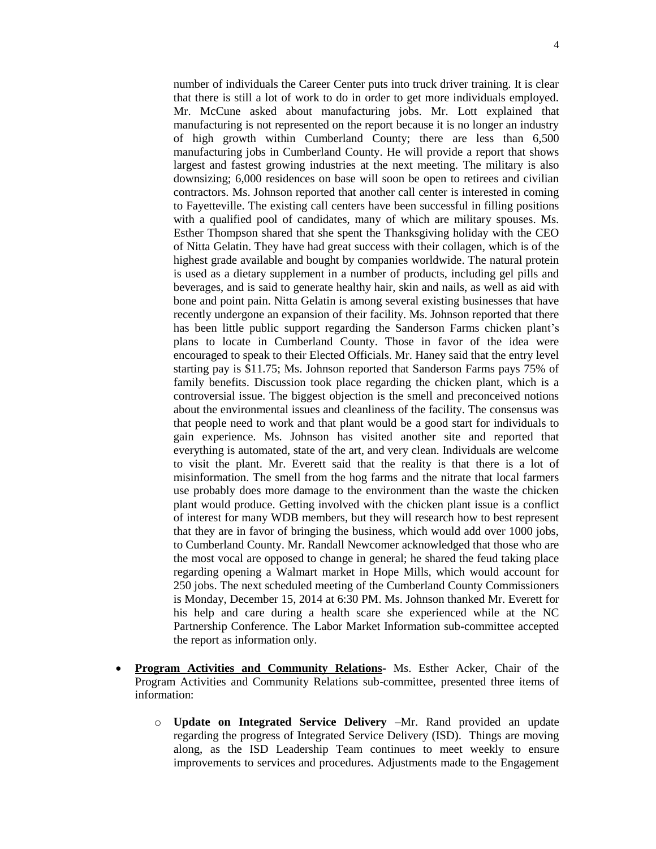number of individuals the Career Center puts into truck driver training. It is clear that there is still a lot of work to do in order to get more individuals employed. Mr. McCune asked about manufacturing jobs. Mr. Lott explained that manufacturing is not represented on the report because it is no longer an industry of high growth within Cumberland County; there are less than 6,500 manufacturing jobs in Cumberland County. He will provide a report that shows largest and fastest growing industries at the next meeting. The military is also downsizing; 6,000 residences on base will soon be open to retirees and civilian contractors. Ms. Johnson reported that another call center is interested in coming to Fayetteville. The existing call centers have been successful in filling positions with a qualified pool of candidates, many of which are military spouses. Ms. Esther Thompson shared that she spent the Thanksgiving holiday with the CEO of Nitta Gelatin. They have had great success with their collagen, which is of the highest grade available and bought by companies worldwide. The natural protein is used as a dietary supplement in a number of products, including gel pills and beverages, and is said to generate healthy hair, skin and nails, as well as aid with bone and point pain. Nitta Gelatin is among several existing businesses that have recently undergone an expansion of their facility. Ms. Johnson reported that there has been little public support regarding the Sanderson Farms chicken plant's plans to locate in Cumberland County. Those in favor of the idea were encouraged to speak to their Elected Officials. Mr. Haney said that the entry level starting pay is \$11.75; Ms. Johnson reported that Sanderson Farms pays 75% of family benefits. Discussion took place regarding the chicken plant, which is a controversial issue. The biggest objection is the smell and preconceived notions about the environmental issues and cleanliness of the facility. The consensus was that people need to work and that plant would be a good start for individuals to gain experience. Ms. Johnson has visited another site and reported that everything is automated, state of the art, and very clean. Individuals are welcome to visit the plant. Mr. Everett said that the reality is that there is a lot of misinformation. The smell from the hog farms and the nitrate that local farmers use probably does more damage to the environment than the waste the chicken plant would produce. Getting involved with the chicken plant issue is a conflict of interest for many WDB members, but they will research how to best represent that they are in favor of bringing the business, which would add over 1000 jobs, to Cumberland County. Mr. Randall Newcomer acknowledged that those who are the most vocal are opposed to change in general; he shared the feud taking place regarding opening a Walmart market in Hope Mills, which would account for 250 jobs. The next scheduled meeting of the Cumberland County Commissioners is Monday, December 15, 2014 at 6:30 PM. Ms. Johnson thanked Mr. Everett for his help and care during a health scare she experienced while at the NC Partnership Conference. The Labor Market Information sub-committee accepted the report as information only.

- **Program Activities and Community Relations-** Ms. Esther Acker, Chair of the Program Activities and Community Relations sub-committee, presented three items of information:
	- o **Update on Integrated Service Delivery** –Mr. Rand provided an update regarding the progress of Integrated Service Delivery (ISD). Things are moving along, as the ISD Leadership Team continues to meet weekly to ensure improvements to services and procedures. Adjustments made to the Engagement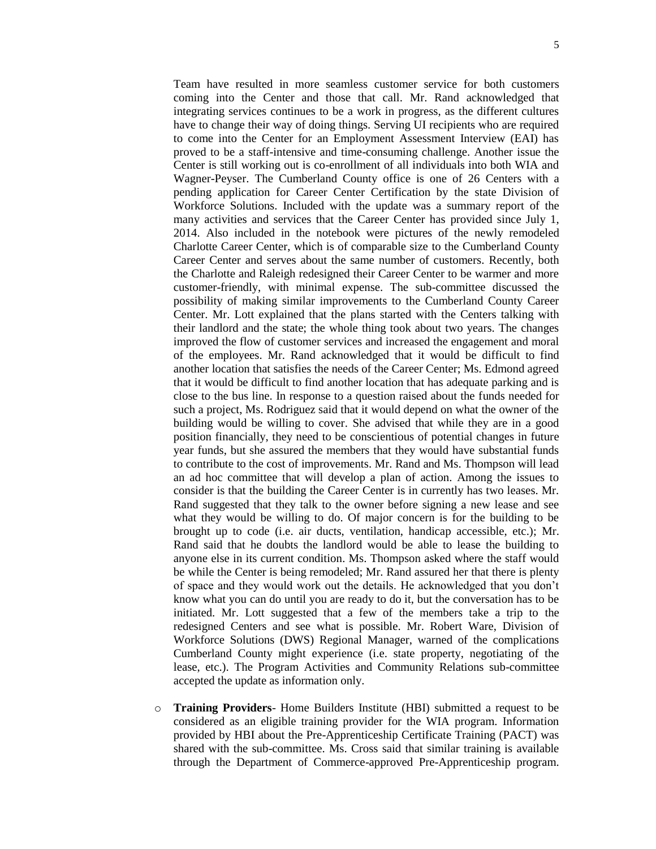Team have resulted in more seamless customer service for both customers coming into the Center and those that call. Mr. Rand acknowledged that integrating services continues to be a work in progress, as the different cultures have to change their way of doing things. Serving UI recipients who are required to come into the Center for an Employment Assessment Interview (EAI) has proved to be a staff-intensive and time-consuming challenge. Another issue the Center is still working out is co-enrollment of all individuals into both WIA and Wagner-Peyser. The Cumberland County office is one of 26 Centers with a pending application for Career Center Certification by the state Division of Workforce Solutions. Included with the update was a summary report of the many activities and services that the Career Center has provided since July 1, 2014. Also included in the notebook were pictures of the newly remodeled Charlotte Career Center, which is of comparable size to the Cumberland County Career Center and serves about the same number of customers. Recently, both the Charlotte and Raleigh redesigned their Career Center to be warmer and more customer-friendly, with minimal expense. The sub-committee discussed the possibility of making similar improvements to the Cumberland County Career Center. Mr. Lott explained that the plans started with the Centers talking with their landlord and the state; the whole thing took about two years. The changes improved the flow of customer services and increased the engagement and moral of the employees. Mr. Rand acknowledged that it would be difficult to find another location that satisfies the needs of the Career Center; Ms. Edmond agreed that it would be difficult to find another location that has adequate parking and is close to the bus line. In response to a question raised about the funds needed for such a project, Ms. Rodriguez said that it would depend on what the owner of the building would be willing to cover. She advised that while they are in a good position financially, they need to be conscientious of potential changes in future year funds, but she assured the members that they would have substantial funds to contribute to the cost of improvements. Mr. Rand and Ms. Thompson will lead an ad hoc committee that will develop a plan of action. Among the issues to consider is that the building the Career Center is in currently has two leases. Mr. Rand suggested that they talk to the owner before signing a new lease and see what they would be willing to do. Of major concern is for the building to be brought up to code (i.e. air ducts, ventilation, handicap accessible, etc.); Mr. Rand said that he doubts the landlord would be able to lease the building to anyone else in its current condition. Ms. Thompson asked where the staff would be while the Center is being remodeled; Mr. Rand assured her that there is plenty of space and they would work out the details. He acknowledged that you don't know what you can do until you are ready to do it, but the conversation has to be initiated. Mr. Lott suggested that a few of the members take a trip to the redesigned Centers and see what is possible. Mr. Robert Ware, Division of Workforce Solutions (DWS) Regional Manager, warned of the complications Cumberland County might experience (i.e. state property, negotiating of the lease, etc.). The Program Activities and Community Relations sub-committee accepted the update as information only.

o **Training Providers**- Home Builders Institute (HBI) submitted a request to be considered as an eligible training provider for the WIA program. Information provided by HBI about the Pre-Apprenticeship Certificate Training (PACT) was shared with the sub-committee. Ms. Cross said that similar training is available through the Department of Commerce-approved Pre-Apprenticeship program.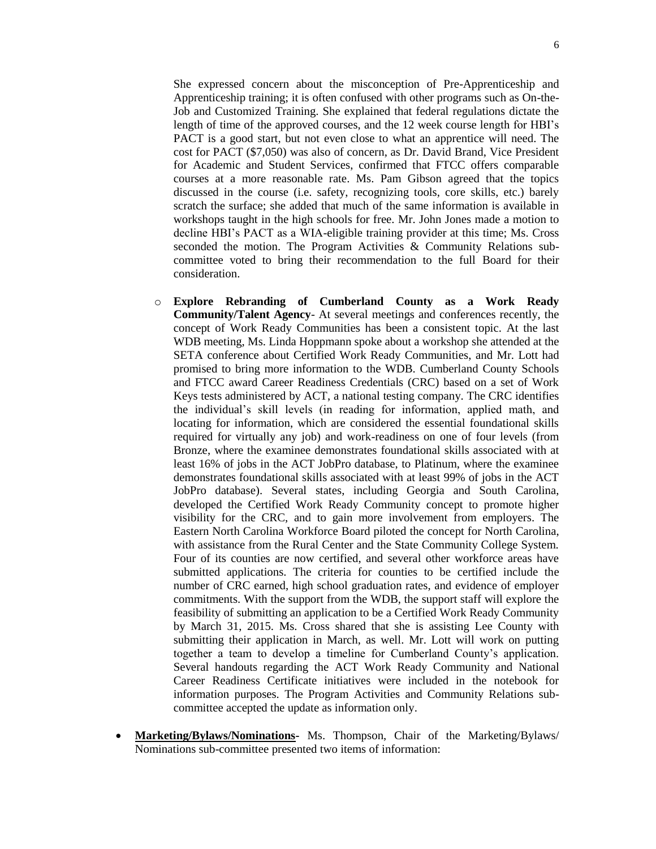6

She expressed concern about the misconception of Pre-Apprenticeship and Apprenticeship training; it is often confused with other programs such as On-the-Job and Customized Training. She explained that federal regulations dictate the length of time of the approved courses, and the 12 week course length for HBI's PACT is a good start, but not even close to what an apprentice will need. The cost for PACT (\$7,050) was also of concern, as Dr. David Brand, Vice President for Academic and Student Services, confirmed that FTCC offers comparable courses at a more reasonable rate. Ms. Pam Gibson agreed that the topics discussed in the course (i.e. safety, recognizing tools, core skills, etc.) barely scratch the surface; she added that much of the same information is available in workshops taught in the high schools for free. Mr. John Jones made a motion to decline HBI's PACT as a WIA-eligible training provider at this time; Ms. Cross seconded the motion. The Program Activities & Community Relations subcommittee voted to bring their recommendation to the full Board for their consideration.

- o **Explore Rebranding of Cumberland County as a Work Ready Community/Talent Agency**- At several meetings and conferences recently, the concept of Work Ready Communities has been a consistent topic. At the last WDB meeting, Ms. Linda Hoppmann spoke about a workshop she attended at the SETA conference about Certified Work Ready Communities, and Mr. Lott had promised to bring more information to the WDB. Cumberland County Schools and FTCC award Career Readiness Credentials (CRC) based on a set of Work Keys tests administered by ACT, a national testing company. The CRC identifies the individual's skill levels (in reading for information, applied math, and locating for information, which are considered the essential foundational skills required for virtually any job) and work-readiness on one of four levels (from Bronze, where the examinee demonstrates foundational skills associated with at least 16% of jobs in the ACT JobPro database, to Platinum, where the examinee demonstrates foundational skills associated with at least 99% of jobs in the ACT JobPro database). Several states, including Georgia and South Carolina, developed the Certified Work Ready Community concept to promote higher visibility for the CRC, and to gain more involvement from employers. The Eastern North Carolina Workforce Board piloted the concept for North Carolina, with assistance from the Rural Center and the State Community College System. Four of its counties are now certified, and several other workforce areas have submitted applications. The criteria for counties to be certified include the number of CRC earned, high school graduation rates, and evidence of employer commitments. With the support from the WDB, the support staff will explore the feasibility of submitting an application to be a Certified Work Ready Community by March 31, 2015. Ms. Cross shared that she is assisting Lee County with submitting their application in March, as well. Mr. Lott will work on putting together a team to develop a timeline for Cumberland County's application. Several handouts regarding the ACT Work Ready Community and National Career Readiness Certificate initiatives were included in the notebook for information purposes. The Program Activities and Community Relations subcommittee accepted the update as information only.
- **Marketing/Bylaws/Nominations-** Ms. Thompson, Chair of the Marketing/Bylaws/ Nominations sub-committee presented two items of information: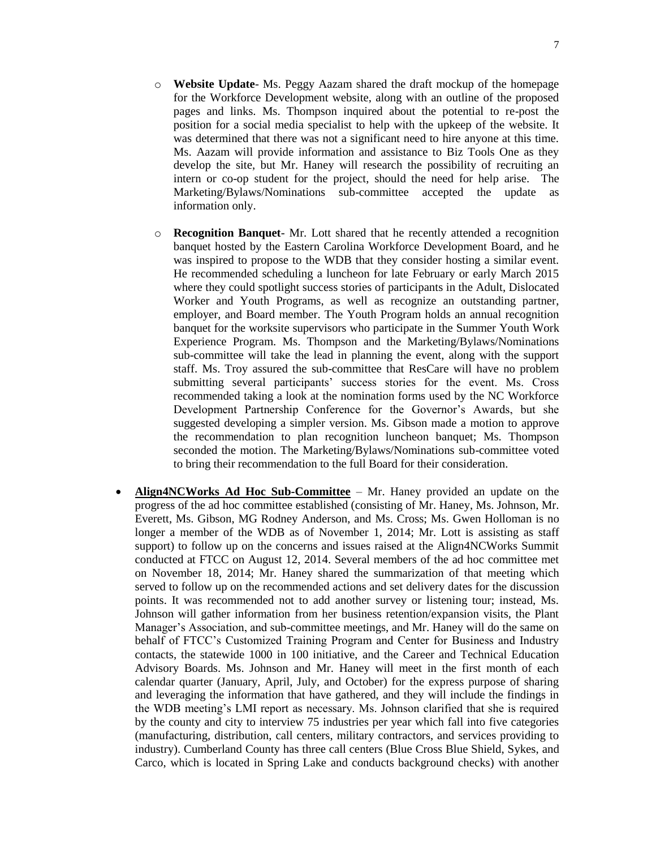- o **Website Update** Ms. Peggy Aazam shared the draft mockup of the homepage for the Workforce Development website, along with an outline of the proposed pages and links. Ms. Thompson inquired about the potential to re-post the position for a social media specialist to help with the upkeep of the website. It was determined that there was not a significant need to hire anyone at this time. Ms. Aazam will provide information and assistance to Biz Tools One as they develop the site, but Mr. Haney will research the possibility of recruiting an intern or co-op student for the project, should the need for help arise. The Marketing/Bylaws/Nominations sub-committee accepted the update as information only.
- o **Recognition Banquet** Mr. Lott shared that he recently attended a recognition banquet hosted by the Eastern Carolina Workforce Development Board, and he was inspired to propose to the WDB that they consider hosting a similar event. He recommended scheduling a luncheon for late February or early March 2015 where they could spotlight success stories of participants in the Adult, Dislocated Worker and Youth Programs, as well as recognize an outstanding partner, employer, and Board member. The Youth Program holds an annual recognition banquet for the worksite supervisors who participate in the Summer Youth Work Experience Program. Ms. Thompson and the Marketing/Bylaws/Nominations sub-committee will take the lead in planning the event, along with the support staff. Ms. Troy assured the sub-committee that ResCare will have no problem submitting several participants' success stories for the event. Ms. Cross recommended taking a look at the nomination forms used by the NC Workforce Development Partnership Conference for the Governor's Awards, but she suggested developing a simpler version. Ms. Gibson made a motion to approve the recommendation to plan recognition luncheon banquet; Ms. Thompson seconded the motion. The Marketing/Bylaws/Nominations sub-committee voted to bring their recommendation to the full Board for their consideration.
- **Align4NCWorks Ad Hoc Sub-Committee** Mr. Haney provided an update on the progress of the ad hoc committee established (consisting of Mr. Haney, Ms. Johnson, Mr. Everett, Ms. Gibson, MG Rodney Anderson, and Ms. Cross; Ms. Gwen Holloman is no longer a member of the WDB as of November 1, 2014; Mr. Lott is assisting as staff support) to follow up on the concerns and issues raised at the Align4NCWorks Summit conducted at FTCC on August 12, 2014. Several members of the ad hoc committee met on November 18, 2014; Mr. Haney shared the summarization of that meeting which served to follow up on the recommended actions and set delivery dates for the discussion points. It was recommended not to add another survey or listening tour; instead, Ms. Johnson will gather information from her business retention/expansion visits, the Plant Manager's Association, and sub-committee meetings, and Mr. Haney will do the same on behalf of FTCC's Customized Training Program and Center for Business and Industry contacts, the statewide 1000 in 100 initiative, and the Career and Technical Education Advisory Boards. Ms. Johnson and Mr. Haney will meet in the first month of each calendar quarter (January, April, July, and October) for the express purpose of sharing and leveraging the information that have gathered, and they will include the findings in the WDB meeting's LMI report as necessary. Ms. Johnson clarified that she is required by the county and city to interview 75 industries per year which fall into five categories (manufacturing, distribution, call centers, military contractors, and services providing to industry). Cumberland County has three call centers (Blue Cross Blue Shield, Sykes, and Carco, which is located in Spring Lake and conducts background checks) with another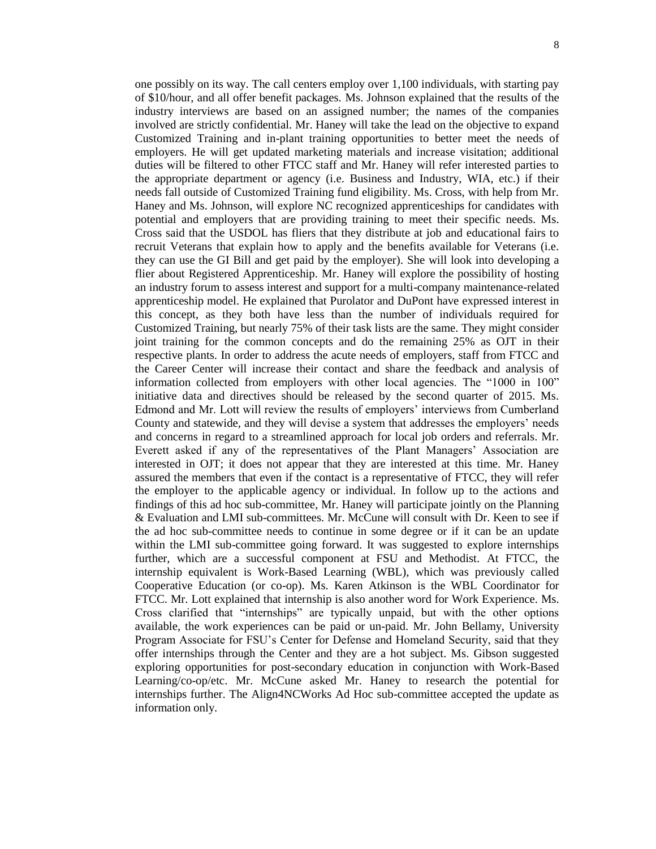one possibly on its way. The call centers employ over 1,100 individuals, with starting pay of \$10/hour, and all offer benefit packages. Ms. Johnson explained that the results of the industry interviews are based on an assigned number; the names of the companies involved are strictly confidential. Mr. Haney will take the lead on the objective to expand Customized Training and in-plant training opportunities to better meet the needs of employers. He will get updated marketing materials and increase visitation; additional duties will be filtered to other FTCC staff and Mr. Haney will refer interested parties to the appropriate department or agency (i.e. Business and Industry, WIA, etc.) if their needs fall outside of Customized Training fund eligibility. Ms. Cross, with help from Mr. Haney and Ms. Johnson, will explore NC recognized apprenticeships for candidates with potential and employers that are providing training to meet their specific needs. Ms. Cross said that the USDOL has fliers that they distribute at job and educational fairs to recruit Veterans that explain how to apply and the benefits available for Veterans (i.e. they can use the GI Bill and get paid by the employer). She will look into developing a flier about Registered Apprenticeship. Mr. Haney will explore the possibility of hosting an industry forum to assess interest and support for a multi-company maintenance-related apprenticeship model. He explained that Purolator and DuPont have expressed interest in this concept, as they both have less than the number of individuals required for Customized Training, but nearly 75% of their task lists are the same. They might consider joint training for the common concepts and do the remaining 25% as OJT in their respective plants. In order to address the acute needs of employers, staff from FTCC and the Career Center will increase their contact and share the feedback and analysis of information collected from employers with other local agencies. The "1000 in 100" initiative data and directives should be released by the second quarter of 2015. Ms. Edmond and Mr. Lott will review the results of employers' interviews from Cumberland County and statewide, and they will devise a system that addresses the employers' needs and concerns in regard to a streamlined approach for local job orders and referrals. Mr. Everett asked if any of the representatives of the Plant Managers' Association are interested in OJT; it does not appear that they are interested at this time. Mr. Haney assured the members that even if the contact is a representative of FTCC, they will refer the employer to the applicable agency or individual. In follow up to the actions and findings of this ad hoc sub-committee, Mr. Haney will participate jointly on the Planning & Evaluation and LMI sub-committees. Mr. McCune will consult with Dr. Keen to see if the ad hoc sub-committee needs to continue in some degree or if it can be an update within the LMI sub-committee going forward. It was suggested to explore internships further, which are a successful component at FSU and Methodist. At FTCC, the internship equivalent is Work-Based Learning (WBL), which was previously called Cooperative Education (or co-op). Ms. Karen Atkinson is the WBL Coordinator for FTCC. Mr. Lott explained that internship is also another word for Work Experience. Ms. Cross clarified that "internships" are typically unpaid, but with the other options available, the work experiences can be paid or un-paid. Mr. John Bellamy, University Program Associate for FSU's Center for Defense and Homeland Security, said that they offer internships through the Center and they are a hot subject. Ms. Gibson suggested exploring opportunities for post-secondary education in conjunction with Work-Based Learning/co-op/etc. Mr. McCune asked Mr. Haney to research the potential for internships further. The Align4NCWorks Ad Hoc sub-committee accepted the update as information only.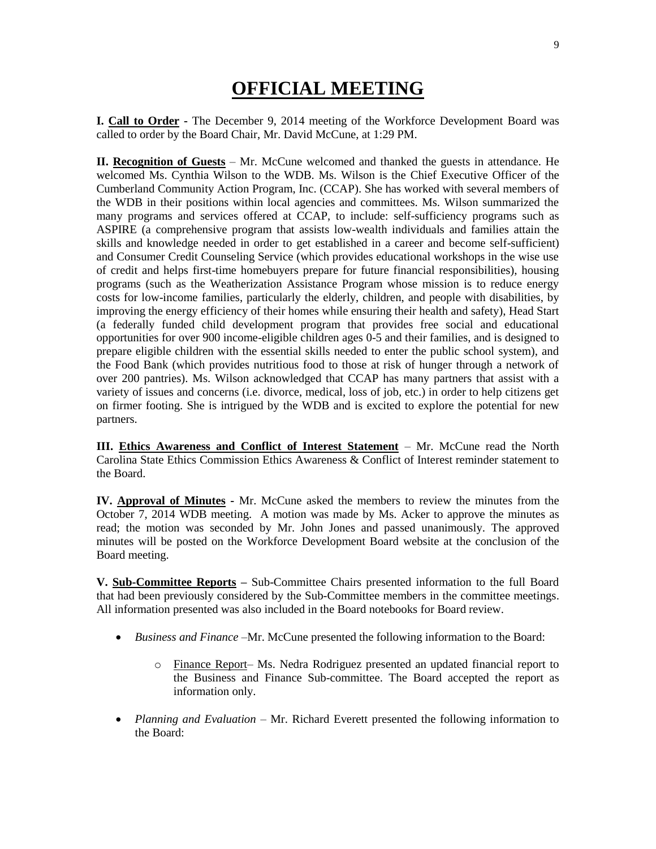## **OFFICIAL MEETING**

**I. Call to Order -** The December 9, 2014 meeting of the Workforce Development Board was called to order by the Board Chair, Mr. David McCune, at 1:29 PM.

**II. Recognition of Guests** – Mr. McCune welcomed and thanked the guests in attendance. He welcomed Ms. Cynthia Wilson to the WDB. Ms. Wilson is the Chief Executive Officer of the Cumberland Community Action Program, Inc. (CCAP). She has worked with several members of the WDB in their positions within local agencies and committees. Ms. Wilson summarized the many programs and services offered at CCAP, to include: self-sufficiency programs such as ASPIRE (a comprehensive program that assists low-wealth individuals and families attain the skills and knowledge needed in order to get established in a career and become self-sufficient) and Consumer Credit Counseling Service (which provides educational workshops in the wise use of credit and helps first-time homebuyers prepare for future financial responsibilities), housing programs (such as the Weatherization Assistance Program whose mission is to reduce energy costs for low-income families, particularly the elderly, children, and people with disabilities, by improving the energy efficiency of their homes while ensuring their health and safety), Head Start (a federally funded child development program that provides free social and educational opportunities for over 900 income-eligible children ages 0-5 and their families, and is designed to prepare eligible children with the essential skills needed to enter the public school system), and the Food Bank (which provides nutritious food to those at risk of hunger through a network of over 200 pantries). Ms. Wilson acknowledged that CCAP has many partners that assist with a variety of issues and concerns (i.e. divorce, medical, loss of job, etc.) in order to help citizens get on firmer footing. She is intrigued by the WDB and is excited to explore the potential for new partners.

**III. Ethics Awareness and Conflict of Interest Statement** – Mr. McCune read the North Carolina State Ethics Commission Ethics Awareness & Conflict of Interest reminder statement to the Board.

**IV. Approval of Minutes -** Mr. McCune asked the members to review the minutes from the October 7, 2014 WDB meeting. A motion was made by Ms. Acker to approve the minutes as read; the motion was seconded by Mr. John Jones and passed unanimously. The approved minutes will be posted on the Workforce Development Board website at the conclusion of the Board meeting.

**V. Sub-Committee Reports –** Sub-Committee Chairs presented information to the full Board that had been previously considered by the Sub-Committee members in the committee meetings. All information presented was also included in the Board notebooks for Board review.

- *Business and Finance –*Mr. McCune presented the following information to the Board:
	- o Finance Report– Ms. Nedra Rodriguez presented an updated financial report to the Business and Finance Sub-committee. The Board accepted the report as information only.
- *Planning and Evaluation* Mr. Richard Everett presented the following information to the Board: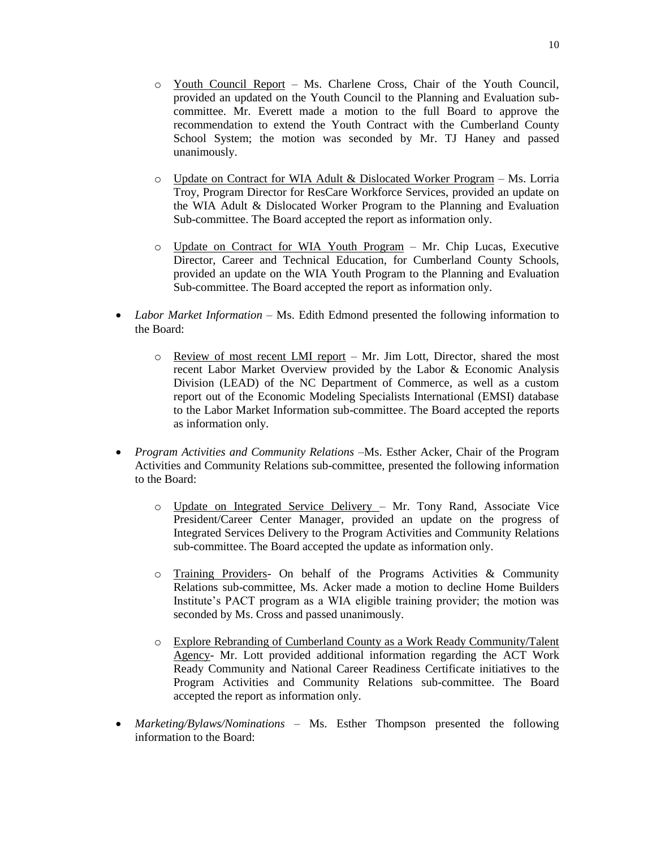- o Update on Contract for WIA Adult & Dislocated Worker Program Ms. Lorria Troy, Program Director for ResCare Workforce Services, provided an update on the WIA Adult & Dislocated Worker Program to the Planning and Evaluation Sub-committee. The Board accepted the report as information only.
- o Update on Contract for WIA Youth Program Mr. Chip Lucas, Executive Director, Career and Technical Education, for Cumberland County Schools, provided an update on the WIA Youth Program to the Planning and Evaluation Sub-committee. The Board accepted the report as information only.
- *Labor Market Information* Ms. Edith Edmond presented the following information to the Board:
	- $\circ$  Review of most recent LMI report Mr. Jim Lott, Director, shared the most recent Labor Market Overview provided by the Labor & Economic Analysis Division (LEAD) of the NC Department of Commerce, as well as a custom report out of the Economic Modeling Specialists International (EMSI) database to the Labor Market Information sub-committee. The Board accepted the reports as information only.
- *Program Activities and Community Relations –*Ms. Esther Acker, Chair of the Program Activities and Community Relations sub-committee, presented the following information to the Board:
	- o Update on Integrated Service Delivery Mr. Tony Rand, Associate Vice President/Career Center Manager, provided an update on the progress of Integrated Services Delivery to the Program Activities and Community Relations sub-committee. The Board accepted the update as information only.
	- $\circ$  Training Providers- On behalf of the Programs Activities & Community Relations sub-committee, Ms. Acker made a motion to decline Home Builders Institute's PACT program as a WIA eligible training provider; the motion was seconded by Ms. Cross and passed unanimously.
	- o Explore Rebranding of Cumberland County as a Work Ready Community/Talent Agency- Mr. Lott provided additional information regarding the ACT Work Ready Community and National Career Readiness Certificate initiatives to the Program Activities and Community Relations sub-committee. The Board accepted the report as information only.
- *Marketing/Bylaws/Nominations –* Ms. Esther Thompson presented the following information to the Board: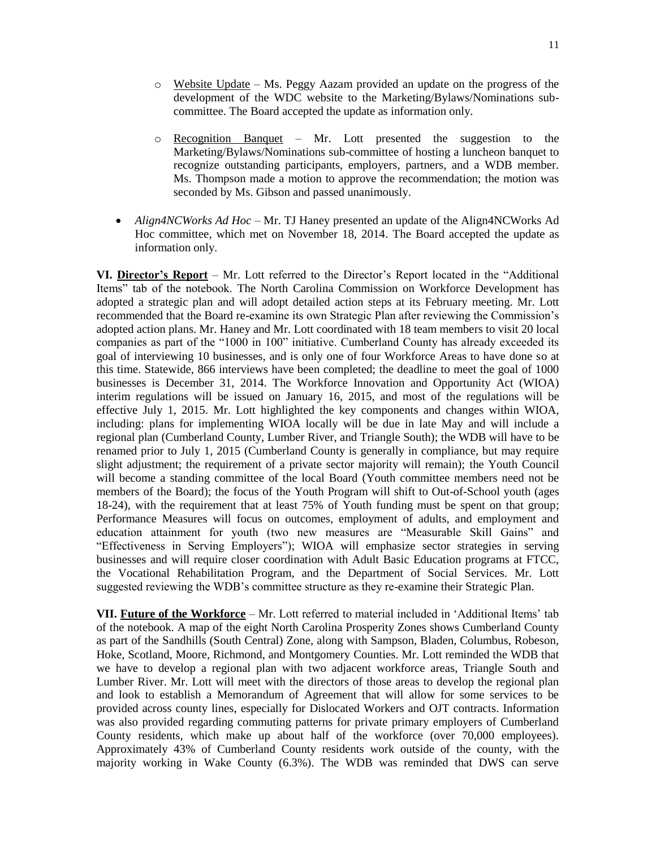- $\circ$  Website Update Ms. Peggy Aazam provided an update on the progress of the development of the WDC website to the Marketing/Bylaws/Nominations subcommittee. The Board accepted the update as information only.
- o Recognition Banquet Mr. Lott presented the suggestion to the Marketing/Bylaws/Nominations sub-committee of hosting a luncheon banquet to recognize outstanding participants, employers, partners, and a WDB member. Ms. Thompson made a motion to approve the recommendation; the motion was seconded by Ms. Gibson and passed unanimously.
- *Align4NCWorks Ad Hoc –* Mr. TJ Haney presented an update of the Align4NCWorks Ad Hoc committee, which met on November 18, 2014. The Board accepted the update as information only.

**VI. Director's Report** – Mr. Lott referred to the Director's Report located in the "Additional Items" tab of the notebook. The North Carolina Commission on Workforce Development has adopted a strategic plan and will adopt detailed action steps at its February meeting. Mr. Lott recommended that the Board re-examine its own Strategic Plan after reviewing the Commission's adopted action plans. Mr. Haney and Mr. Lott coordinated with 18 team members to visit 20 local companies as part of the "1000 in 100" initiative. Cumberland County has already exceeded its goal of interviewing 10 businesses, and is only one of four Workforce Areas to have done so at this time. Statewide, 866 interviews have been completed; the deadline to meet the goal of 1000 businesses is December 31, 2014. The Workforce Innovation and Opportunity Act (WIOA) interim regulations will be issued on January 16, 2015, and most of the regulations will be effective July 1, 2015. Mr. Lott highlighted the key components and changes within WIOA, including: plans for implementing WIOA locally will be due in late May and will include a regional plan (Cumberland County, Lumber River, and Triangle South); the WDB will have to be renamed prior to July 1, 2015 (Cumberland County is generally in compliance, but may require slight adjustment; the requirement of a private sector majority will remain); the Youth Council will become a standing committee of the local Board (Youth committee members need not be members of the Board); the focus of the Youth Program will shift to Out-of-School youth (ages 18-24), with the requirement that at least 75% of Youth funding must be spent on that group; Performance Measures will focus on outcomes, employment of adults, and employment and education attainment for youth (two new measures are "Measurable Skill Gains" and "Effectiveness in Serving Employers"); WIOA will emphasize sector strategies in serving businesses and will require closer coordination with Adult Basic Education programs at FTCC, the Vocational Rehabilitation Program, and the Department of Social Services. Mr. Lott suggested reviewing the WDB's committee structure as they re-examine their Strategic Plan.

**VII. Future of the Workforce** – Mr. Lott referred to material included in 'Additional Items' tab of the notebook. A map of the eight North Carolina Prosperity Zones shows Cumberland County as part of the Sandhills (South Central) Zone, along with Sampson, Bladen, Columbus, Robeson, Hoke, Scotland, Moore, Richmond, and Montgomery Counties. Mr. Lott reminded the WDB that we have to develop a regional plan with two adjacent workforce areas, Triangle South and Lumber River. Mr. Lott will meet with the directors of those areas to develop the regional plan and look to establish a Memorandum of Agreement that will allow for some services to be provided across county lines, especially for Dislocated Workers and OJT contracts. Information was also provided regarding commuting patterns for private primary employers of Cumberland County residents, which make up about half of the workforce (over 70,000 employees). Approximately 43% of Cumberland County residents work outside of the county, with the majority working in Wake County (6.3%). The WDB was reminded that DWS can serve